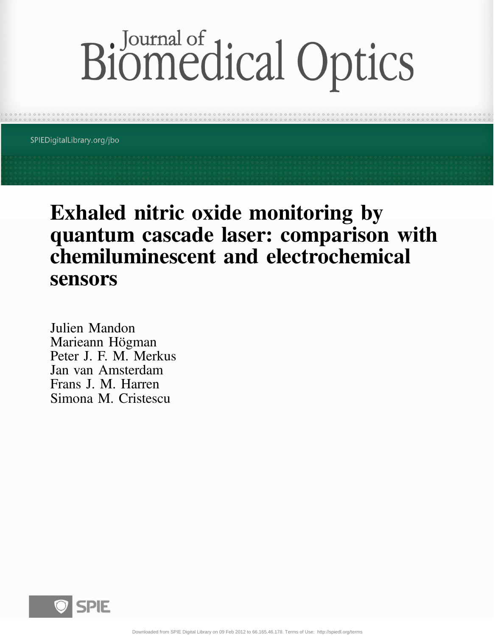# Biomedical Optics

SPIEDigitalLibrary.org/jbo

## Exhaled nitric oxide monitoring by quantum cascade laser: comparison with chemiluminescent and electrochemical sensors

Julien Mandon Marieann Högman Peter J. F. M. Merkus Jan van Amsterdam Frans J. M. Harren Simona M. Cristescu

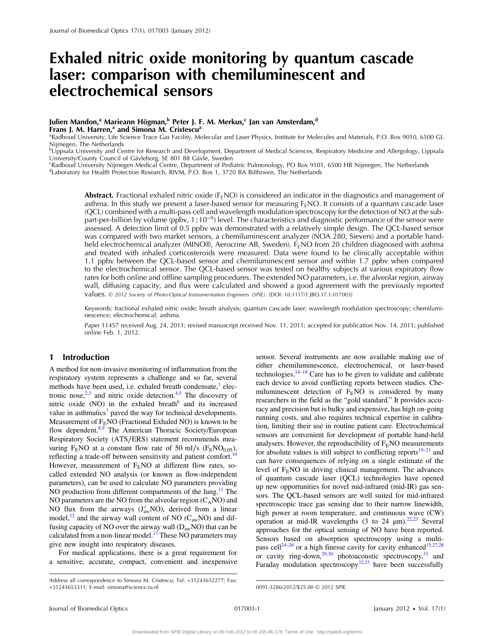### Exhaled nitric oxide monitoring by quantum cascade laser: comparison with chemiluminescent and electrochemical sensors

#### Julien Mandon,<sup>a</sup> Marieann Högman,<sup>b</sup> Peter J. F. M. Merkus,<sup>c</sup> Jan van Amsterdam,<sup>d</sup>

**Frans J. M. Harren,<sup>a</sup> and Simona M. Cristescu<sup>a</sup><br>ªRadboud University, Life Science Trace Gas Facility, Molecular and Laser Physics, Institute for Molecules and Materials, P.O. Box 9010, 6500 GL** Nijmegen, The Netherlands

b Uppsala University and Centre for Research and Development, Department of Medical Sciences, Respiratory Medicine and Allergology, Uppsala University/County Council of Gävleborg, SE 801 88 Gävle, Sweden

c Radboud University Nijmegen Medical Centre, Department of Pediatric Pulmonology, PO Box 9101, 6500 HB Nijmegen, The Netherlands <sup>d</sup>Laboratory for Health Protection Research, RIVM, P.O. Box 1, 3720 BA Bilthoven, The Netherlands

Abstract. Fractional exhaled nitric oxide ( $F<sub>E</sub>NO$ ) is considered an indicator in the diagnostics and management of asthma. In this study we present a laser-based sensor for measuring  $F_FNO$ . It consists of a quantum cascade laser (QCL) combined with a multi-pass cell and wavelength modulation spectroscopy for the detection of NO at the subpart-per-billion by volume (ppbv, 1∶10<sup>-9</sup>) level. The characteristics and diagnostic performance of the sensor were assessed. A detection limit of 0.5 ppbv was demonstrated with a relatively simple design. The QCL-based sensor was compared with two market sensors, a chemiluminescent analyzer (NOA 280, Sievers) and a portable handheld electrochemical analyzer (MINO®, Aerocrine AB, Sweden).  $F<sub>E</sub>NO$  from 20 children diagnosed with asthma and treated with inhaled corticosteroids were measured. Data were found to be clinically acceptable within 1.1 ppbv between the QCL-based sensor and chemiluminescent sensor and within 1.7 ppbv when compared to the electrochemical sensor. The QCL-based sensor was tested on healthy subjects at various expiratory flow rates for both online and offline sampling procedures. The extended NO parameters, i.e. the alveolar region, airway wall, diffusing capacity, and flux were calculated and showed a good agreement with the previously reported values. © 2012 Society of Photo-Optical Instrumentation Engineers (SPIE). [DOI: 10.1117/1.JBO.17.1.017003]

Keywords: fractional exhaled nitric oxide; breath analysis; quantum cascade laser; wavelength modulation spectroscopy; chemiluminescence; electrochemical; asthma.

Paper 11457 received Aug. 24, 2011; revised manuscript received Nov. 11, 2011; accepted for publication Nov. 14, 2011; published online Feb. 1, 2012.

#### 1 Introduction

A method for non-invasive monitoring of inflammation from the respiratory system represents a challenge and so far, several methods have been used, i.e. exhaled breath condensate,<sup>[1](#page-6-0)</sup> electronic nose, $2,3$  $2,3$  $2,3$  and nitric oxide detection.<sup>[4](#page-6-3),[5](#page-6-4)</sup> The discovery of nitric oxide (NO) in the exhaled breath $6$  and its increased value in asthmatics<sup>[7](#page-6-6)</sup> paved the way for technical developments. Measurement of  $F<sub>F</sub>NO$  (Fractional Exhaled NO) is known to be flow dependent.<sup>8,[9](#page-6-8)</sup> The American Thoracic Society/European Respiratory Society (ATS∕ERS) statement recommends measuring F<sub>E</sub>NO at a constant flow rate of 50 ml/s (F<sub>E</sub>NO<sub>0.05</sub>), reflecting a trade-off between sensitivity and patient comfort. However, measurement of  $F<sub>E</sub>NO$  at different flow rates, socalled extended NO analysis (or known as flow-independent parameters), can be used to calculate NO parameters providing NO production from different compartments of the lung.<sup>11</sup> The NO parameters are the NO from the alveolar region  $(C_A NO)$  and NO flux from the airways  $(J'_{aw}NO)$ , derived from a linear model,<sup>[12](#page-6-11)</sup> and the airway wall content of NO ( $C_{aw}$ NO) and diffusing capacity of NO over the airway wall  $(D_{aw}NO)$  that can be calculated from a non-linear model. $13$  These NO parameters may give new insight into respiratory diseases.

For medical applications, there is a great requirement for a sensitive, accurate, compact, convenient and inexpensive

sensor. Several instruments are now available making use of either chemiluminescence, electrochemical, or laser-based technologies. $14-18$  $14-18$  $14-18$  Care has to be given to validate and calibrate each device to avoid conflicting reports between studies. Chemiluminescent detection of  $F<sub>E</sub>NO$  is considered by many researchers in the field as the "gold standard." It provides accuracy and precision but is bulky and expensive, has high on-going running costs, and also requires technical expertise in calibration, limiting their use in routine patient care. Electrochemical sensors are convenient for development of portable hand-held analysers. However, the reproducibility of  $F<sub>E</sub>NO$  measurements for absolute values is still subject to conflicting reports $19-21$  $19-21$  $19-21$  and can have consequences of relying on a single estimate of the level of F<sub>E</sub>NO in driving clinical management. The advances of quantum cascade laser (QCL) technologies have opened up new opportunities for novel mid-infrared (mid-IR) gas sensors. The QCL-based sensors are well suited for mid-infrared spectroscopic trace gas sensing due to their narrow linewidth, high power at room temperature, and continuous wave (CW) operation at mid-IR wavelengths (3 to 24  $\mu$ m).<sup>[22](#page-6-17),[23](#page-6-18)</sup> Several approaches for the optical sensing of NO have been reported. Sensors based on absorption spectroscopy using a multi-pass cell<sup>[24](#page-6-19)-[26](#page-6-20)</sup> or a high finesse cavity for cavity enhanced<sup>[15,](#page-6-21)[27](#page-6-22)[,28](#page-7-0)</sup> or cavity ring-down,<sup>[29](#page-7-1),[30](#page-7-2)</sup> photoacoustic spectroscopy,<sup>[31](#page-7-3)</sup> and Faraday modulation spectroscopy<sup>32[,33](#page-7-5)</sup> have been successfully

Address all correspondence to Simona M. Cristescu; Tel: +31243652277; Fax: +31243653311; E-mail: simona@science.ru.nl 0091-3286/2012/\$25.00 © 2012 SPIE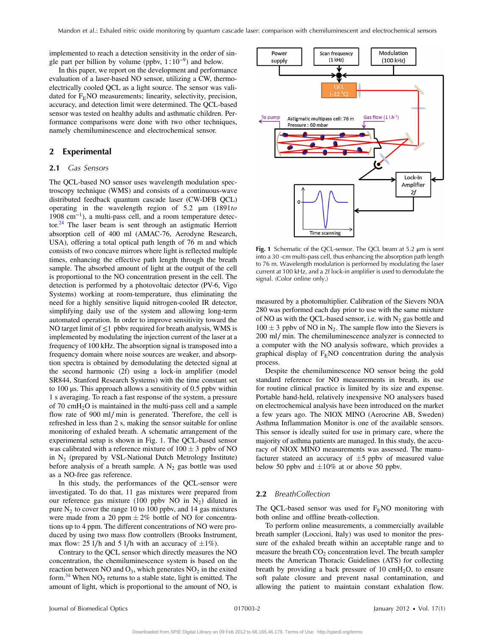implemented to reach a detection sensitivity in the order of single part per billion by volume (ppby,  $1:10^{-9}$ ) and below.

In this paper, we report on the development and performance evaluation of a laser-based NO sensor, utilizing a CW, thermoelectrically cooled QCL as a light source. The sensor was validated for  $F<sub>E</sub>NO$  measurements; linearity, selectivity, precision, accuracy, and detection limit were determined. The QCL-based sensor was tested on healthy adults and asthmatic children. Performance comparisons were done with two other techniques, namely chemiluminescence and electrochemical sensor.

#### 2 Experimental

#### 2.1 Gas Sensors

The QCL-based NO sensor uses wavelength modulation spectroscopy technique (WMS) and consists of a continuous-wave distributed feedback quantum cascade laser (CW-DFB QCL) operating in the wavelength region of  $5.2 \mu m$  (1891to 1908 cm<sup>−</sup><sup>1</sup>), a multi-pass cell, and a room temperature detec-tor.<sup>[24](#page-6-19)</sup> The laser beam is sent through an astigmatic Herriott absorption cell of 400 ml (AMAC-76, Aerodyne Research, USA), offering a total optical path length of 76 m and which consists of two concave mirrors where light is reflected multiple times, enhancing the effective path length through the breath sample. The absorbed amount of light at the output of the cell is proportional to the NO concentration present in the cell. The detection is performed by a photovoltaic detector (PV-6, Vigo Systems) working at room-temperature, thus eliminating the need for a highly sensitive liquid nitrogen-cooled IR detector, simplifying daily use of the system and allowing long-term automated operation. In order to improve sensitivity toward the NO target limit of  $\leq 1$  pbby required for breath analysis, WMS is implemented by modulating the injection current of the laser at a frequency of 100 kHz. The absorption signal is transposed into a frequency domain where noise sources are weaker, and absorption spectra is obtained by demodulating the detected signal at the second harmonic (2f) using a lock-in amplifier (model SR844, Stanford Research Systems) with the time constant set to 100 μs. This approach allows a sensitivity of 0.5 ppbv within 1 s averaging. To reach a fast response of the system, a pressure of 70 cm $H_2O$  is maintained in the multi-pass cell and a sample flow rate of 900 ml∕ min is generated. Therefore, the cell is refreshed in less than 2 s, making the sensor suitable for online monitoring of exhaled breath. A schematic arrangement of the experimental setup is shown in Fig. [1](#page-2-0). The QCL-based sensor was calibrated with a reference mixture of  $100 \pm 3$  ppby of NO in  $N_2$  (prepared by VSL-National Dutch Metrology Institute) before analysis of a breath sample. A  $N_2$  gas bottle was used as a NO-free gas reference.

In this study, the performances of the QCL-sensor were investigated. To do that, 11 gas mixtures were prepared from our reference gas mixture (100 ppbv NO in  $N_2$ ) diluted in pure  $N_2$  to cover the range 10 to 100 ppbv, and 14 gas mixtures were made from a 20 ppm  $\pm 2\%$  bottle of NO for concentrations up to 4 ppm. The different concentrations of NO were produced by using two mass flow controllers (Brooks Instrument, max flow: 25 l/h and 5 l/h with an accuracy of  $\pm 1\%$ ).

Contrary to the QCL sensor which directly measures the NO concentration, the chemiluminescence system is based on the reaction between NO and  $O_3$ , which generates  $NO_2$  in the exited form.<sup>[34](#page-7-6)</sup> When  $NO<sub>2</sub>$  returns to a stable state, light is emitted. The amount of light, which is proportional to the amount of NO, is

<span id="page-2-0"></span>

Fig. 1 Schematic of the QCL-sensor. The QCL beam at 5.2 μm is sent into a 30 -cm multi-pass cell, thus enhancing the absorption path length to 76 m. Wavelength modulation is performed by modulating the laser current at 100 kHz, and a 2f lock-in amplifier is used to demodulate the signal. (Color online only.)

measured by a photomultiplier. Calibration of the Sievers NOA 280 was performed each day prior to use with the same mixture of NO as with the QCL-based sensor, i.e. with  $N_2$  gas bottle and  $100 \pm 3$  ppbv of NO in N<sub>2</sub>. The sample flow into the Sievers is 200 ml/min. The chemiluminescence analyzer is connected to a computer with the NO analysis software, which provides a graphical display of  $F<sub>E</sub>NO$  concentration during the analysis process.

Despite the chemiluminescence NO sensor being the gold standard reference for NO measurements in breath, its use for routine clinical practice is limited by its size and expense. Portable hand-held, relatively inexpensive NO analysers based on electrochemical analysis have been introduced on the market a few years ago. The NIOX MINO (Aerocrine AB, Sweden) Asthma Inflammation Monitor is one of the available sensors. This sensor is ideally suited for use in primary care, where the majority of asthma patients are managed. In this study, the accuracy of NIOX MINO measurements was assessed. The manufacturer stateed an accuracy of  $\pm 5$  ppby of measured value below 50 ppbv and  $\pm 10\%$  at or above 50 ppbv.

#### 2.2 BreathCollection

The QCL-based sensor was used for  $F<sub>E</sub>NO$  monitoring with both online and offline breath-collection.

To perform online measurements, a commercially available breath sampler (Loccioni, Italy) was used to monitor the pressure of the exhaled breath within an acceptable range and to measure the breath  $CO<sub>2</sub>$  concentration level. The breath sampler meets the American Thoracic Guidelines (ATS) for collecting breath by providing a back pressure of 10 cmH<sub>2</sub>O, to ensure soft palate closure and prevent nasal contamination, and allowing the patient to maintain constant exhalation flow.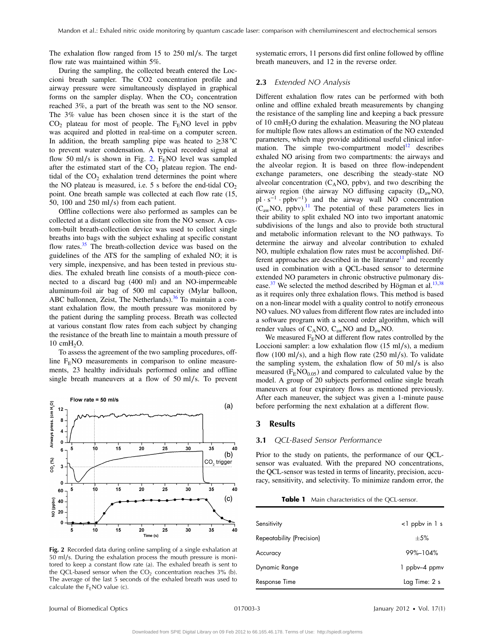The exhalation flow ranged from 15 to 250 ml∕s. The target flow rate was maintained within 5%.

During the sampling, the collected breath entered the Loccioni breath sampler. The CO2 concentration profile and airway pressure were simultaneously displayed in graphical forms on the sampler display. When the  $CO<sub>2</sub>$  concentration reached 3%, a part of the breath was sent to the NO sensor. The 3% value has been chosen since it is the start of the  $CO<sub>2</sub>$  plateau for most of people. The F<sub>E</sub>NO level in ppbv was acquired and plotted in real-time on a computer screen. In addition, the breath sampling pipe was heated to  $\geq$ 38 °C to prevent water condensation. A typical recorded signal at flow 50 ml/s is shown in Fig. [2.](#page-3-0)  $F<sub>E</sub>NO$  level was sampled after the estimated start of the  $CO<sub>2</sub>$  plateau region. The endtidal of the  $CO<sub>2</sub>$  exhalation trend determines the point where the NO plateau is measured, i.e.  $5 \text{ s}$  before the end-tidal  $CO<sub>2</sub>$ point. One breath sample was collected at each flow rate (15, 50, 100 and 250 ml∕s) from each patient.

Offline collections were also performed as samples can be collected at a distant collection site from the NO sensor. A custom-built breath-collection device was used to collect single breaths into bags with the subject exhaling at specific constant flow rates.<sup>[35](#page-7-7)</sup> The breath-collection device was based on the guidelines of the ATS for the sampling of exhaled NO; it is very simple, inexpensive, and has been tested in previous studies. The exhaled breath line consists of a mouth-piece connected to a discard bag (400 ml) and an NO-impermeable aluminum-foil air bag of 500 ml capacity (Mylar balloon, ABC ballonnen, Zeist, The Netherlands).<sup>[36](#page-7-8)</sup> To maintain a constant exhalation flow, the mouth pressure was monitored by the patient during the sampling process. Breath was collected at various constant flow rates from each subject by changing the resistance of the breath line to maintain a mouth pressure of 10 cmH<sub>2</sub>O.

To assess the agreement of the two sampling procedures, offline  $F<sub>E</sub>NO$  measurements in comparison to online measurements, 23 healthy individuals performed online and offline single breath maneuvers at a flow of 50 ml∕s. To prevent

<span id="page-3-0"></span>

Fig. 2 Recorded data during online sampling of a single exhalation at 50 ml∕s. During the exhalation process the mouth pressure is monitored to keep a constant flow rate (a). The exhaled breath is sent to the QCL-based sensor when the  $CO<sub>2</sub>$  concentration reaches 3% (b). The average of the last 5 seconds of the exhaled breath was used to calculate the  $F_FNO$  value (c).

systematic errors, 11 persons did first online followed by offline breath maneuvers, and 12 in the reverse order.

#### 2.3 Extended NO Analysis

Different exhalation flow rates can be performed with both online and offline exhaled breath measurements by changing the resistance of the sampling line and keeping a back pressure of 10 cm $H_2O$  during the exhalation. Measuring the NO plateau for multiple flow rates allows an estimation of the NO extended parameters, which may provide additional useful clinical infor-mation. The simple two-compartment model<sup>[12](#page-6-11)</sup> describes exhaled NO arising from two compartments: the airways and the alveolar region. It is based on three flow-independent exchange parameters, one describing the steady-state NO alveolar concentration  $(C_ANO, ppbv)$ , and two describing the airway region (the airway NO diffusing capacity (DawNO,  $p1 \cdot s^{-1} \cdot ppbv^{-1}$  and the airway wall NO concentration  $(C_{aw}NO, ppbv).$ <sup>11</sup> The potential of these parameters lies in their ability to split exhaled NO into two important anatomic subdivisions of the lungs and also to provide both structural and metabolic information relevant to the NO pathways. To determine the airway and alveolar contribution to exhaled NO, multiple exhalation flow rates must be accomplished. Different approaches are described in the literature<sup>11</sup> and recently used in combination with a QCL-based sensor to determine extended NO parameters in chronic obstructive pulmonary dis-ease.<sup>[37](#page-7-9)</sup> We selected the method described by Högman et al.<sup>[13](#page-6-12)[,38](#page-7-10)</sup> as it requires only three exhalation flows. This method is based on a non-linear model with a quality control to notify erroneous NO values. NO values from different flow rates are included into a software program with a second order algorithm, which will render values of  $C_ANO$ ,  $C_{aw}NO$  and  $D_{aw}NO$ .

We measured  $F<sub>E</sub>NO$  at different flow rates controlled by the Loccioni sampler: a low exhalation flow (15 ml∕s), a medium flow (100 ml∕s), and a high flow rate (250 ml∕s). To validate the sampling system, the exhalation flow of 50 ml∕s is also measured ( $F<sub>E</sub>NO<sub>0.05</sub>$ ) and compared to calculated value by the model. A group of 20 subjects performed online single breath maneuvers at four expiratory flows as mentioned previously. After each maneuver, the subject was given a 1-minute pause before performing the next exhalation at a different flow.

#### 3 Results

#### 3.1 QCL-Based Sensor Performance

Prior to the study on patients, the performance of our QCLsensor was evaluated. With the prepared NO concentrations, the QCL-sensor was tested in terms of linearity, precision, accuracy, sensitivity, and selectivity. To minimize random error, the

**Table 1** Main characteristics of the QCL-sensor.

<span id="page-3-1"></span>

| Sensitivity               | $\leq$ ppby in 1 s |
|---------------------------|--------------------|
| Repeatability (Precision) | $+5%$              |
| Accuracy                  | 99%-104%           |
| Dynamic Range             | 1 ppbv-4 ppmv      |
| Response Time             | Lag Time: 2 s      |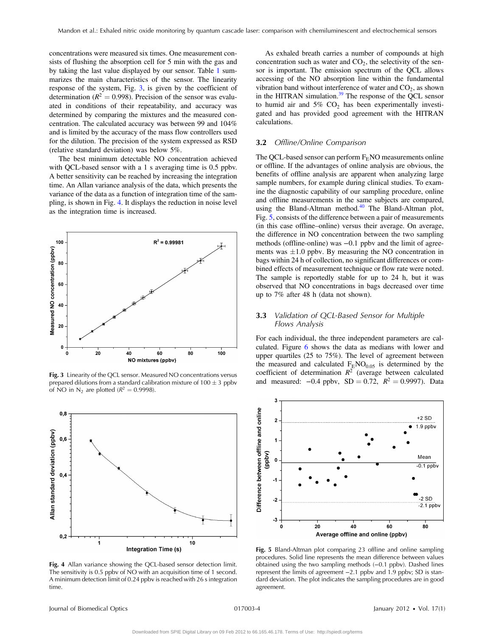concentrations were measured six times. One measurement consists of flushing the absorption cell for 5 min with the gas and by taking the last value displayed by our sensor. Table [1](#page-3-1) summarizes the main characteristics of the sensor. The linearity response of the system, Fig. [3,](#page-4-0) is given by the coefficient of determination ( $R^2 = 0.998$ ). Precision of the sensor was evaluated in conditions of their repeatability, and accuracy was determined by comparing the mixtures and the measured concentration. The calculated accuracy was between 99 and 104% and is limited by the accuracy of the mass flow controllers used for the dilution. The precision of the system expressed as RSD (relative standard deviation) was below 5%.

The best minimum detectable NO concentration achieved with QCL-based sensor with a 1 s averaging time is 0.5 ppbv. A better sensitivity can be reached by increasing the integration time. An Allan variance analysis of the data, which presents the variance of the data as a function of integration time of the sampling, is shown in Fig. [4](#page-4-1). It displays the reduction in noise level as the integration time is increased.

<span id="page-4-0"></span>

prepared dilutions from a standard calibration mixture of  $100 \pm 3$  ppbv of NO in N<sub>2</sub> are plotted ( $R^2 = 0.9998$ ).

<span id="page-4-1"></span>

Fig. 4 Allan variance showing the QCL-based sensor detection limit. The sensitivity is 0.5 ppbv of NO with an acquisition time of 1 second. A minimum detection limit of 0.24 ppbv is reached with 26 s integration time.

As exhaled breath carries a number of compounds at high concentration such as water and  $CO<sub>2</sub>$ , the selectivity of the sensor is important. The emission spectrum of the QCL allows accessing of the NO absorption line within the fundamental vibration band without interference of water and  $CO<sub>2</sub>$ , as shown in the HITRAN simulation. $39$  The response of the QCL sensor to humid air and  $5\%$  CO<sub>2</sub> has been experimentally investigated and has provided good agreement with the HITRAN calculations.

#### 3.2 Offline/Online Comparison

The QCL-based sensor can perform  $F_FNO$  measurements online or offline. If the advantages of online analysis are obvious, the benefits of offline analysis are apparent when analyzing large sample numbers, for example during clinical studies. To examine the diagnostic capability of our sampling procedure, online and offline measurements in the same subjects are compared, using the Bland-Altman method. $40$  The Bland-Altman plot, Fig. [5](#page-4-2), consists of the difference between a pair of measurements (in this case offline–online) versus their average. On average, the difference in NO concentration between the two sampling methods (offline-online) was  $-0.1$  ppbv and the limit of agreements was  $\pm 1.0$  ppbv. By measuring the NO concentration in bags within 24 h of collection, no significant differences or combined effects of measurement technique or flow rate were noted. The sample is reportedly stable for up to 24 h, but it was observed that NO concentrations in bags decreased over time up to 7% after 48 h (data not shown).

#### 3.3 Validation of QCL-Based Sensor for Multiple Flows Analysis

For each individual, the three independent parameters are calculated. Figure [6](#page-5-0) shows the data as medians with lower and upper quartiles (25 to 75%). The level of agreement between the measured and calculated  $F<sub>E</sub>NO<sub>0.05</sub>$  is determined by the coefficient of determination  $R^2$  (average between calculated **Fig. 3** Linearity of the QCL sensor. Measured NO concentrations versus<br>prepared dilutions from a standard calibration mixture of 100  $\pm$  3 ppbv and measured:  $-0.4$  ppbv, SD = 0.72,  $R^2 = 0.9997$ . Data

<span id="page-4-2"></span>

Fig. 5 Bland-Altman plot comparing 23 offline and online sampling procedures. Solid line represents the mean difference between values obtained using the two sampling methods (−0.1 ppbv). Dashed lines represent the limits of agreement −2.1 ppbv and 1.9 ppbv; SD is standard deviation. The plot indicates the sampling procedures are in good agreement.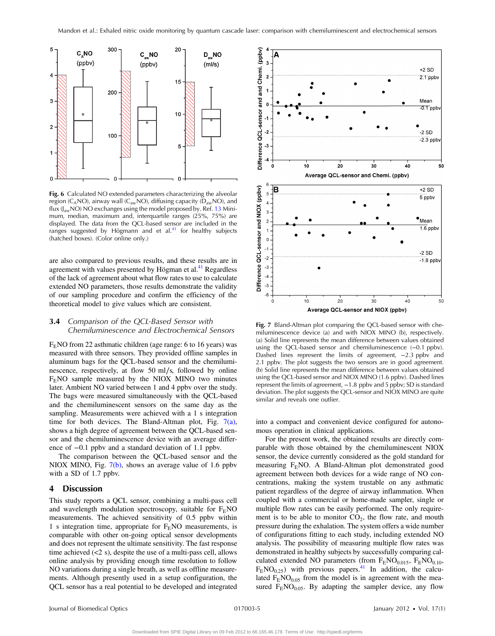<span id="page-5-0"></span>

Fig. 6 Calculated NO extended parameters characterizing the alveolar region (C<sub>A</sub>NO), airway wall (C<sub>aw</sub>NO), diffusing capacity ( $D_{aw}$ NO), and flux  $(J_{aw}NO) NO$  exchanges using the model proposed by. Ref. [13](#page-6-12) Minimum, median, maximum and, interquartile ranges (25%, 75%) are displayed. The data from the QCL-based sensor are included in the ranges suggested by Högmann and et al.<sup>[41](#page-7-13)</sup> for healthy subjects (hatched boxes). (Color online only.)

are also compared to previous results, and these results are in agreement with values presented by Högman et al.<sup>41</sup> Regardless of the lack of agreement about what flow rates to use to calculate extended NO parameters, those results demonstrate the validity of our sampling procedure and confirm the efficiency of the theoretical model to give values which are consistent.

#### **3.4** Comparison of the QCL-Based Sensor with Chemiluminescence and Electrochemical Sensors

 $F<sub>E</sub>NO$  from 22 asthmatic children (age range: 6 to 16 years) was measured with three sensors. They provided offline samples in aluminum bags for the QCL-based sensor and the chemiluminescence, respectively, at flow 50 ml∕s, followed by online  $F<sub>E</sub>NO$  sample measured by the NIOX MINO two minutes later. Ambient NO varied between 1 and 4 ppbv over the study. The bags were measured simultaneously with the QCL-based and the chemiluminescent sensors on the same day as the sampling. Measurements were achieved with a 1 s integration time for both devices. The Bland-Altman plot, Fig.  $7(a)$ , shows a high degree of agreement between the QCL-based sensor and the chemiluminescence device with an average difference of −0.1 ppbv and a standard deviation of 1.1 ppbv.

The comparison between the QCL-based sensor and the NIOX MINO, Fig. [7\(b\),](#page-5-1) shows an average value of 1.6 ppbv with a SD of 1.7 ppbv.

#### 4 Discussion

This study reports a QCL sensor, combining a multi-pass cell and wavelength modulation spectroscopy, suitable for  $F<sub>E</sub>NO$ measurements. The achieved sensitivity of 0.5 ppbv within 1 s integration time, appropriate for  $F<sub>E</sub>NO$  measurements, is comparable with other on-going optical sensor developments and does not represent the ultimate sensitivity. The fast response time achieved (<2 s), despite the use of a multi-pass cell, allows online analysis by providing enough time resolution to follow NO variations during a single breath, as well as offline measurements. Although presently used in a setup configuration, the QCL sensor has a real potential to be developed and integrated

<span id="page-5-1"></span>

Fig. 7 Bland-Altman plot comparing the QCL-based sensor with chemiluminescence device (a) and with NIOX MINO (b), respectively. (a) Solid line represents the mean difference between values obtained using the QCL-based sensor and chemiluminescence (−0.1 ppbv). Dashed lines represent the limits of agreement, −2.3 ppbv and 2.1 ppbv. The plot suggests the two sensors are in good agreement. (b) Solid line represents the mean difference between values obtained using the QCL-based sensor and NIOX MINO (1.6 ppbv). Dashed lines represent the limits of agreement, -1.8 ppbv and 5 ppbv; SD is standard deviation. The plot suggests the QCL-sensor and NIOX MINO are quite similar and reveals one outlier.

into a compact and convenient device configured for autonomous operation in clinical applications.

For the present work, the obtained results are directly comparable with those obtained by the chemiluminescent NIOX sensor, the device currently considered as the gold standard for measuring  $F<sub>E</sub>NO$ . A Bland-Altman plot demonstrated good agreement between both devices for a wide range of NO concentrations, making the system trustable on any asthmatic patient regardless of the degree of airway inflammation. When coupled with a commercial or home-made sampler, single or multiple flow rates can be easily performed. The only requirement is to be able to monitor  $CO<sub>2</sub>$ , the flow rate, and mouth pressure during the exhalation. The system offers a wide number of configurations fitting to each study, including extended NO analysis. The possibility of measuring multiple flow rates was demonstrated in healthy subjects by successfully comparing calculated extended NO parameters (from  $F<sub>E</sub>NO<sub>0.015</sub>$ ,  $F<sub>E</sub>NO<sub>0.10</sub>$ ,  $F<sub>E</sub>NO<sub>0.25</sub>$ ) with previous papers.<sup>41</sup> In addition, the calculated  $F<sub>E</sub>NO<sub>0.05</sub>$  from the model is in agreement with the measured  $F<sub>E</sub>NO<sub>0.05</sub>$ . By adapting the sampler device, any flow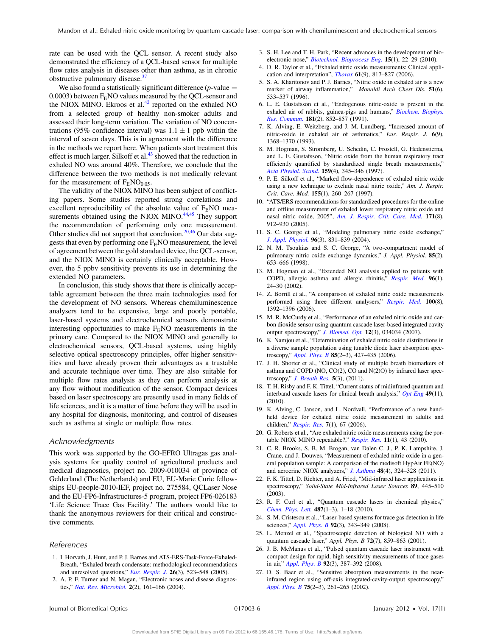rate can be used with the QCL sensor. A recent study also demonstrated the efficiency of a QCL-based sensor for multiple flow rates analysis in diseases other than asthma, as in chronic obstructive pulmonary disease.<sup>[37](#page-7-9)</sup>

We also found a statistically significant difference ( $p$ -value  $=$  $0.0003$ ) between  $F<sub>E</sub>NO$  values measured by the QCL-sensor and the NIOX MINO. Ekroos et al. $42$  reported on the exhaled NO from a selected group of healthy non-smoker adults and assessed their long-term variation. The variation of NO concentrations (95% confidence interval) was  $1.1 \pm 1$  ppb within the interval of seven days. This is in agreement with the difference in the methods we report here. When patients start treatment this effect is much larger. Silkoff et al. $43$  showed that the reduction in exhaled NO was around 40%. Therefore, we conclude that the difference between the two methods is not medically relevant for the measurement of  $F<sub>E</sub>NO<sub>0.05</sub>$ .

The validity of the NIOX MINO has been subject of conflicting papers. Some studies reported strong correlations and excellent reproducibility of the absolute value of  $F<sub>E</sub>NO$  mea-surements obtained using the NIOX MINO.<sup>[44](#page-7-16)[,45](#page-7-17)</sup> They support the recommendation of performing only one measurement. Other studies did not support that conclusion.<sup>[20](#page-6-23),[46](#page-7-18)</sup> Our data suggests that even by performing one  $F<sub>E</sub>NO$  measurement, the level of agreement between the gold standard device, the QCL-sensor, and the NIOX MINO is certainly clinically acceptable. However, the 5 ppbv sensitivity prevents its use in determining the extended NO parameters.

In conclusion, this study shows that there is clinically acceptable agreement between the three main technologies used for the development of NO sensors. Whereas chemiluminescence analysers tend to be expensive, large and poorly portable, laser-based systems and electrochemical sensors demonstrate interesting opportunities to make  $F<sub>E</sub>NO$  measurements in the primary care. Compared to the NIOX MINO and generally to electrochemical sensors, QCL-based systems, using highly selective optical spectroscopy principles, offer higher sensitivities and have already proven their advantages as a trustable and accurate technique over time. They are also suitable for multiple flow rates analysis as they can perform analysis at any flow without modification of the sensor. Compact devices based on laser spectroscopy are presently used in many fields of life sciences, and it is a matter of time before they will be used in any hospital for diagnosis, monitoring, and control of diseases such as asthma at single or multiple flow rates.

#### Acknowledgments

This work was supported by the GO-EFRO Ultragas gas analysis systems for quality control of agricultural products and medical diagnostics, project no. 2009-010034 of province of Gelderland (The Netherlands) and EU, EU-Marie Curie fellowships EU-people-2010-IEF, project no. 275584, QCLaser Nose and the EU-FP6-Infrastructures-5 program, project FP6-026183 'Life Science Trace Gas Facility.' The authors would like to thank the anonymous reviewers for their critical and constructive comments.

#### References

- <span id="page-6-0"></span>1. I. Horvath, J. Hunt, and P. J. Barnes and ATS-ERS-Task-Force-Exhaled-Breath, "Exhaled breath condensate: methodological recommendations and unresolved questions," [Eur. Respir. J.](http://dx.doi.org/10.1183/09031936.05.00029705) 26(3), 523–548 (2005).
- <span id="page-6-1"></span>2. A. P. F. Turner and N. Magan, "Electronic noses and disease diagnostics," [Nat. Rev. Microbiol.](http://dx.doi.org/10.1038/nrmicro823) 2(2), 161–166 (2004).
- <span id="page-6-2"></span>3. S. H. Lee and T. H. Park, "Recent advances in the development of bio-electronic nose," [Biotechnol. Bioprocess Eng.](http://dx.doi.org/10.1007/s12257-009-3077-1) 15(1), 22-29 (2010).
- <span id="page-6-3"></span>4. D. R. Taylor et al., "Exhaled nitric oxide measurements: Clinical application and interpretation", *[Thorax](http://dx.doi.org/10.1136/thx.2005.056093)*  $61(9)$ , 817–827 (2006).
- <span id="page-6-4"></span>5. S. A. Kharitonov and P. J. Barnes, "Nitric oxide in exhaled air is a new marker of airway inflammation," Monaldi Arch Chest Dis. 51(6), 533–537 (1996).
- <span id="page-6-5"></span>6. L. E. Gustafsson et al., "Endogenous nitric-oxide is present in the exhaled air of rabbits, guinea-pigs and humans," [Biochem. Biophys.](http://dx.doi.org/10.1016/0006-291X(91)91268-H) [Res. Commun.](http://dx.doi.org/10.1016/0006-291X(91)91268-H) 181(2), 852–857 (1991).
- <span id="page-6-6"></span>7. K. Alving, E. Weitzberg, and J. M. Lundberg, "Increased amount of nitric-oxide in exhaled air of asthmatics," Eur. Respir. J. 6(9), 1368–1370 (1993).
- <span id="page-6-7"></span>8. M. Hogman, S. Stromberg, U. Schedin, C. Frostell, G. Hedenstierna, and L. E. Gustafsson, "Nitric oxide from the human respiratory tract efficiently quantified by standardized single breath measurements," [Acta Physiol. Scand.](http://dx.doi.org/10.1046/j.1365-201X.1997.00101.x) 159(4), 345–346 (1997).
- <span id="page-6-8"></span>9. P. E. Silkoff et al., "Marked flow-dependence of exhaled nitric oxide using a new technique to exclude nasal nitric oxide," Am. J. Respir. Crit. Care. Med. 155(1), 260–267 (1997).
- <span id="page-6-9"></span>10. "ATS/ERS recommendations for standardized procedures for the online and offline measurement of exhaled lower respiratory nitric oxide and nasal nitric oxide, 2005", [Am. J. Respir. Crit. Care. Med.](http://dx.doi.org/10.1164/rccm.200406-710ST) 171(8), 912–930 (2005).
- <span id="page-6-10"></span>11. S. C. George et al., "Modeling pulmonary nitric oxide exchange," [J. Appl. Physiol.](doi: 10.1152/japplphysiol.00950) 96(3), 831-839 (2004).
- <span id="page-6-11"></span>12. N. M. Tsoukias and S. C. George, "A two-compartment model of pulmonary nitric oxide exchange dynamics," J. Appl. Physiol. 85(2), 653–666 (1998).
- <span id="page-6-12"></span>13. M. Hogman et al., "Extended NO analysis applied to patients with COPD, allergic asthma and allergic rhinitis," [Respir. Med.](http://dx.doi.org/10.1053/rmed.2001.1204) 96(1), 24–30 (2002).
- <span id="page-6-13"></span>14. Z. Borrill et al., "A comparison of exhaled nitric oxide measurements performed using three different analysers," [Respir. Med.](http://dx.doi.org/10.1016/j.rmed.2005.11.018) 100(8), 1392–1396 (2006).
- <span id="page-6-21"></span>15. M. R. McCurdy et al., "Performance of an exhaled nitric oxide and carbon dioxide sensor using quantum cascade laser-based integrated cavity output spectroscopy," *[J. Biomed. Opt.](http://dx.doi.org/10.1117/1.2747608)* **12**(3), 034034 (2007).
- 16. K. Namjou et al., "Determination of exhaled nitric oxide distributions in a diverse sample population using tunable diode laser absorption spectroscopy," [Appl. Phys. B](http://dx.doi.org/10.1007/s00340-006-2301-3) 85(2–3), 427–435 (2006).
- 17. J. H. Shorter et al., "Clinical study of multiple breath biomarkers of asthma and COPD (NO, CO(2), CO and N(2)O) by infrared laser spectroscopy," [J. Breath Res.](http://dx.doi.org/10.1088/1752-7155/5/3/037108) 5(3), (2011).
- <span id="page-6-14"></span>18. T. H. Risby and F. K. Tittel, "Current status of midinfrared quantum and interband cascade lasers for clinical breath analysis," [Opt Eng](http://dx.doi.org/10.1117/1.3498768) 49(11), (2010).
- <span id="page-6-15"></span>19. K. Alving, C. Janson, and L. Nordvall, "Performance of a new handheld device for exhaled nitric oxide measurement in adults and children," [Respir. Res.](http://dx.doi.org/10.1186/1465-9921-7-67) 7(1), 67 (2006).
- <span id="page-6-23"></span><span id="page-6-16"></span>20. G. Roberts et al., "Are exhaled nitric oxide measurements using the por-table NIOX MINO repeatable?," [Respir. Res.](http://dx.doi.org/10.1186/1465-9921-11-43) 11(1), 43 (2010).
- 21. C. R. Brooks, S. B. M. Brogan, van Dalen C. J., P. K. Lampshire, J. Crane, and J. Douwes, "Measurement of exhaled nitric oxide in a general population sample: A comparison of the medisoft HypAir FE(NO) and aerocrine NIOX analyzers," *[J. Asthma](http://dx.doi.org/10.3109/02770903.2011.560322)* 48(4), 324-328 (2011).
- <span id="page-6-18"></span><span id="page-6-17"></span>22. F. K. Tittel, D. Richter, and A. Fried, "Mid-infrared laser applications in spectroscopy," Solid-State Mid-Infrared Laser Sources 89, 445-510 (2003).
- <span id="page-6-19"></span>23. R. F. Curl et al., "Quantum cascade lasers in chemical physics," [Chem. Phys. Lett.](http://dx.doi.org/10.1016/j.cplett.2009.12.073) 487(1–3), 1–18 (2010).
- 24. S. M. Cristescu et al., "Laser-based systems for trace gas detection in life sciences," [Appl. Phys. B](http://dx.doi.org/10.1007/s00340-008-3127-y) 92(3), 343-349 (2008).
- <span id="page-6-20"></span>25. L. Menzel et al., "Spectroscopic detection of biological NO with a quantum cascade laser," Appl. Phys. B 72(7), 859–863 (2001).
- <span id="page-6-22"></span>26. J. B. McManus et al., "Pulsed quantum cascade laser instrument with compact design for rapid, high sensitivity measurements of trace gases in air," [Appl. Phys. B](http://dx.doi.org/10.1007/s00340-008-3129-9) 92(3), 387–392 (2008).
- 27. D. S. Baer et al., "Sensitive absorption measurements in the nearinfrared region using off-axis integrated-cavity-output spectroscopy," [Appl. Phys. B](http://dx.doi.org/10.1007/s00340-002-0971-z) 75(2–3), 261–265 (2002).